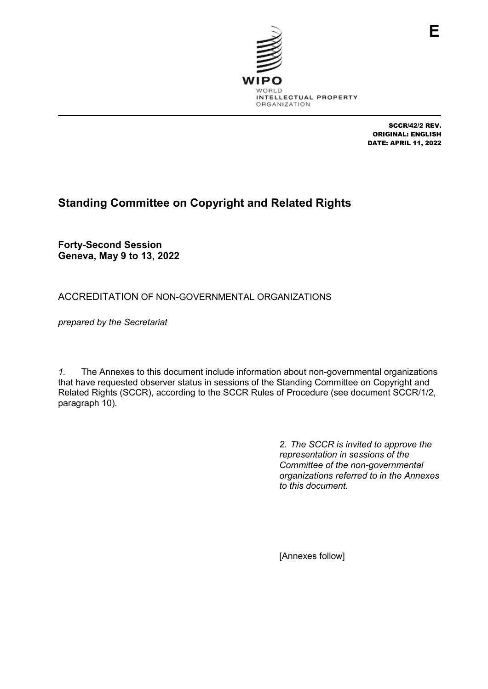

SCCR/42/2 REV. ORIGINAL: ENGLISH DATE: APRIL 11, 2022

# **Standing Committee on Copyright and Related Rights**

**Forty-Second Session Geneva, May 9 to 13, 2022**

ACCREDITATION OF NON-GOVERNMENTAL ORGANIZATIONS

*prepared by the Secretariat*

*1.* The Annexes to this document include information about non-governmental organizations that have requested observer status in sessions of the Standing Committee on Copyright and Related Rights (SCCR), according to the SCCR Rules of Procedure (see document SCCR/1/2, paragraph 10).

> *2. The SCCR is invited to approve the representation in sessions of the Committee of the non-governmental organizations referred to in the Annexes to this document.*

[Annexes follow]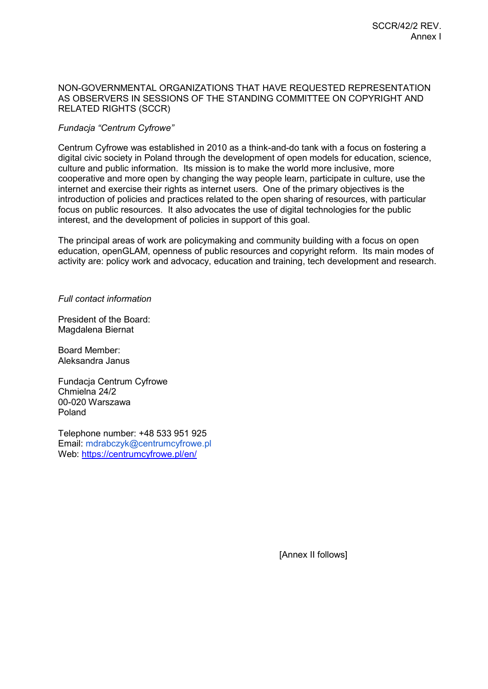# NON-GOVERNMENTAL ORGANIZATIONS THAT HAVE REQUESTED REPRESENTATION AS OBSERVERS IN SESSIONS OF THE STANDING COMMITTEE ON COPYRIGHT AND RELATED RIGHTS (SCCR)

# *Fundacja "Centrum Cyfrowe"*

Centrum Cyfrowe was established in 2010 as a think-and-do tank with a focus on fostering a digital civic society in Poland through the development of open models for education, science, culture and public information. Its mission is to make the world more inclusive, more cooperative and more open by changing the way people learn, participate in culture, use the internet and exercise their rights as internet users. One of the primary objectives is the introduction of policies and practices related to the open sharing of resources, with particular focus on public resources. It also advocates the use of digital technologies for the public interest, and the development of policies in support of this goal.

The principal areas of work are policymaking and community building with a focus on open education, openGLAM, openness of public resources and copyright reform. Its main modes of activity are: policy work and advocacy, education and training, tech development and research.

*Full contact information*

President of the Board: Magdalena Biernat

Board Member: Aleksandra Janus

Fundacja Centrum Cyfrowe Chmielna 24/2 00-020 Warszawa Poland

Telephone number: +48 533 951 925 Email: mdrabczyk@centrumcyfrowe.pl Web:<https://centrumcyfrowe.pl/en/>

[Annex II follows]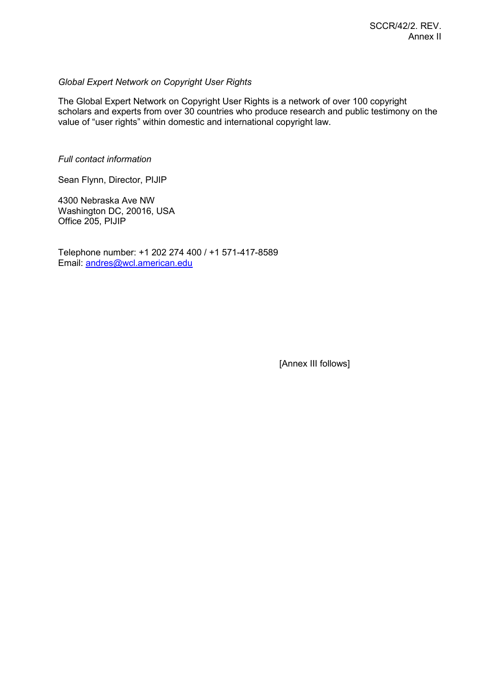# *Global Expert Network on Copyright User Rights*

The Global Expert Network on Copyright User Rights is a network of over 100 copyright scholars and experts from over 30 countries who produce research and public testimony on the value of "user rights" within domestic and international copyright law.

*Full contact information*

Sean Flynn, Director, PIJIP

4300 Nebraska Ave NW Washington DC, 20016, USA Office 205, PIJIP

Telephone number: +1 202 274 400 / +1 571-417-8589 Email: [andres@wcl.american.edu](mailto:andres@wcl.american.edu)

[Annex III follows]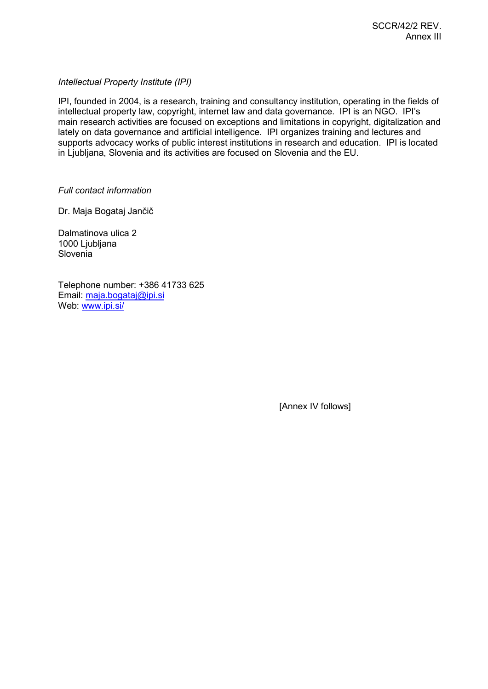*Intellectual Property Institute (IPI)*

IPI, founded in 2004, is a research, training and consultancy institution, operating in the fields of intellectual property law, copyright, internet law and data governance. IPI is an NGO. IPI's main research activities are focused on exceptions and limitations in copyright, digitalization and lately on data governance and artificial intelligence. IPI organizes training and lectures and supports advocacy works of public interest institutions in research and education. IPI is located in Ljubljana, Slovenia and its activities are focused on Slovenia and the EU.

*Full contact information*

Dr. Maja Bogataj Jančič

Dalmatinova ulica 2 1000 Ljubljana **Slovenia** 

Telephone number: +386 41733 625 Email: [maja.bogataj@ipi.si](mailto:maja.bogataj@ipi.si) Web: [www.ipi.si/](http://www.ipi.si/)

[Annex IV follows]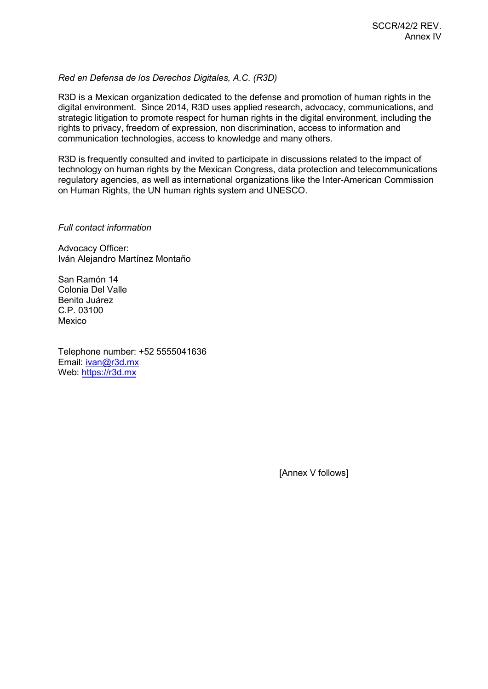# *Red en Defensa de los Derechos Digitales, A.C. (R3D)*

R3D is a Mexican organization dedicated to the defense and promotion of human rights in the digital environment. Since 2014, R3D uses applied research, advocacy, communications, and strategic litigation to promote respect for human rights in the digital environment, including the rights to privacy, freedom of expression, non discrimination, access to information and communication technologies, access to knowledge and many others.

R3D is frequently consulted and invited to participate in discussions related to the impact of technology on human rights by the Mexican Congress, data protection and telecommunications regulatory agencies, as well as international organizations like the Inter-American Commission on Human Rights, the UN human rights system and UNESCO.

#### *Full contact information*

Advocacy Officer: Iván Alejandro Martínez Montaño

San Ramón 14 Colonia Del Valle Benito Juárez C.P. 03100 Mexico

Telephone number: +52 5555041636 Email: [ivan@r3d.mx](mailto:ivan@r3d.mx) Web: [https://r3d.mx](https://r3d.mx/)

[Annex V follows]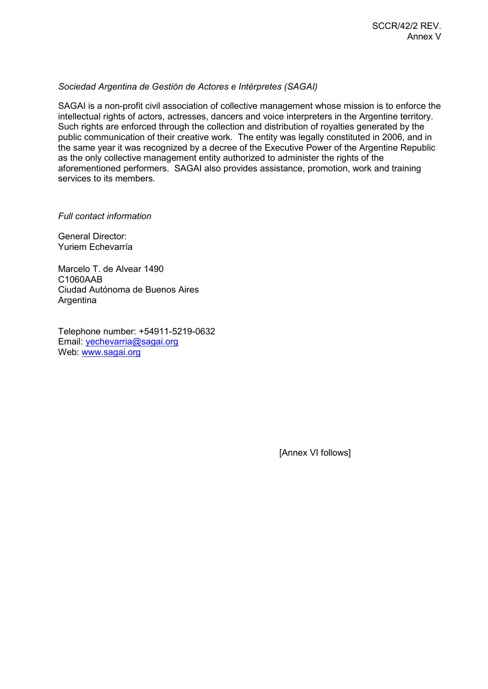## *Sociedad Argentina de Gestión de Actores e Intérpretes (SAGAI)*

SAGAI is a non-profit civil association of collective management whose mission is to enforce the intellectual rights of actors, actresses, dancers and voice interpreters in the Argentine territory. Such rights are enforced through the collection and distribution of royalties generated by the public communication of their creative work. The entity was legally constituted in 2006, and in the same year it was recognized by a decree of the Executive Power of the Argentine Republic as the only collective management entity authorized to administer the rights of the aforementioned performers. SAGAI also provides assistance, promotion, work and training services to its members.

#### *Full contact information*

General Director: Yuriem Echevarría

Marcelo T. de Alvear 1490 C1060AAB Ciudad Autónoma de Buenos Aires Argentina

Telephone number: +54911-5219-0632 Email: [yechevarria@sagai.org](mailto:yechevarria@sagai.org) Web: [www.sagai.org](http://www.sagai.org/)

[Annex VI follows]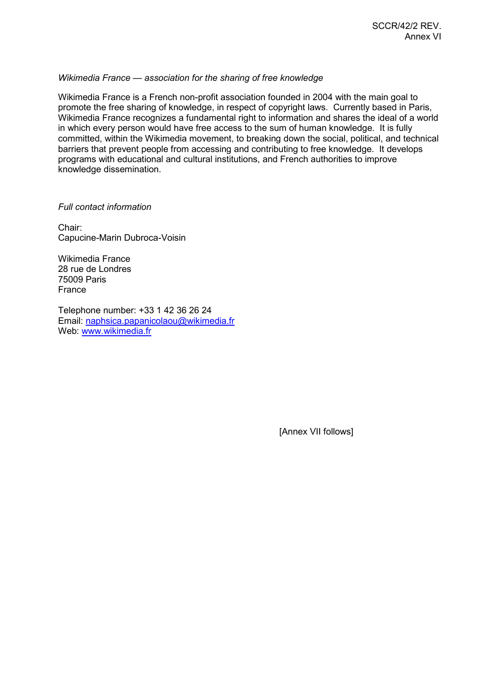## *Wikimedia France — association for the sharing of free knowledge*

Wikimedia France is a French non-profit association founded in 2004 with the main goal to promote the free sharing of knowledge, in respect of copyright laws. Currently based in Paris, Wikimedia France recognizes a fundamental right to information and shares the ideal of a world in which every person would have free access to the sum of human knowledge. It is fully committed, within the Wikimedia movement, to breaking down the social, political, and technical barriers that prevent people from accessing and contributing to free knowledge. It develops programs with educational and cultural institutions, and French authorities to improve knowledge dissemination.

## *Full contact information*

Chair: Capucine-Marin Dubroca-Voisin

Wikimedia France 28 rue de Londres 75009 Paris France

Telephone number: +33 1 42 36 26 24 Email: [naphsica.papanicolaou@wikimedia.fr](mailto:naphsica.papanicolaou@wikimedia.fr)  Web: [www.wikimedia.fr](http://www.wikimedia.fr/)

[Annex VII follows]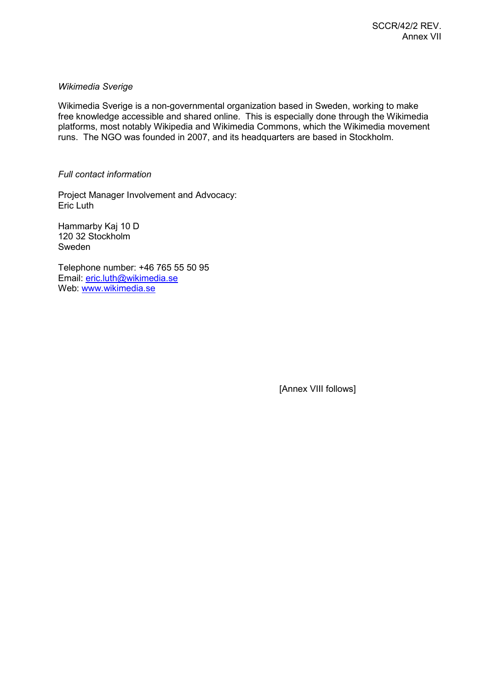# *Wikimedia Sverige*

Wikimedia Sverige is a non-governmental organization based in Sweden, working to make free knowledge accessible and shared online. This is especially done through the Wikimedia platforms, most notably Wikipedia and Wikimedia Commons, which the Wikimedia movement runs. The NGO was founded in 2007, and its headquarters are based in Stockholm.

#### *Full contact information*

Project Manager Involvement and Advocacy: Eric Luth

Hammarby Kaj 10 D 120 32 Stockholm Sweden

Telephone number: +46 765 55 50 95 Email: [eric.luth@wikimedia.se](mailto:eric.luth@wikimedia.se) Web: [www.wikimedia.se](http://www.wikimedia.se/)

[Annex VIII follows]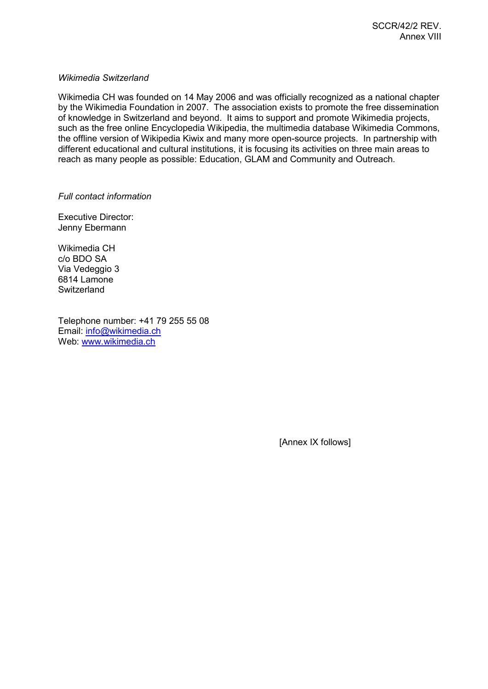## *Wikimedia Switzerland*

Wikimedia CH was founded on 14 May 2006 and was officially recognized as a national chapter by the Wikimedia Foundation in 2007. The association exists to promote the free dissemination of knowledge in Switzerland and beyond. It aims to support and promote Wikimedia projects, such as the free online Encyclopedia Wikipedia, the multimedia database Wikimedia Commons, the offline version of Wikipedia Kiwix and many more open-source projects. In partnership with different educational and cultural institutions, it is focusing its activities on three main areas to reach as many people as possible: Education, GLAM and Community and Outreach.

*Full contact information*

Executive Director: Jenny Ebermann

Wikimedia CH c/o BDO SA Via Vedeggio 3 6814 Lamone **Switzerland** 

Telephone number: +41 79 255 55 08 Email: [info@wikimedia.ch](mailto:info@wikimedia.ch) Web: [www.wikimedia.ch](http://www.wikimedia.ch/)

[Annex IX follows]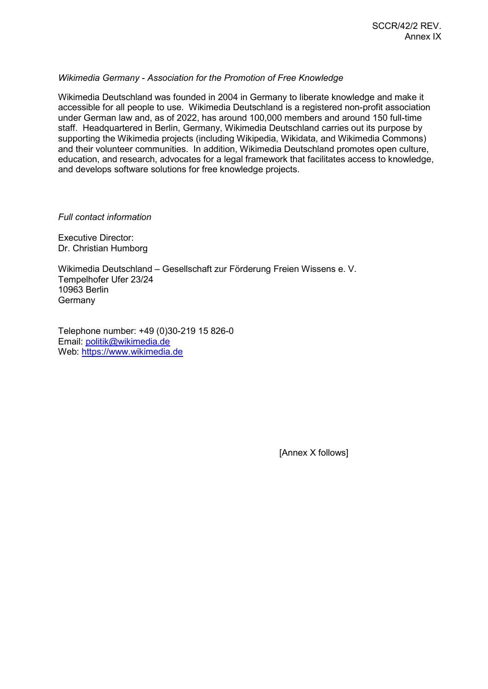## *Wikimedia Germany - Association for the Promotion of Free Knowledge*

Wikimedia Deutschland was founded in 2004 in Germany to liberate knowledge and make it accessible for all people to use. Wikimedia Deutschland is a registered non-profit association under German law and, as of 2022, has around 100,000 members and around 150 full-time staff. Headquartered in Berlin, Germany, Wikimedia Deutschland carries out its purpose by supporting the Wikimedia projects (including Wikipedia, Wikidata, and Wikimedia Commons) and their volunteer communities. In addition, Wikimedia Deutschland promotes open culture, education, and research, advocates for a legal framework that facilitates access to knowledge, and develops software solutions for free knowledge projects.

#### *Full contact information*

Executive Director: Dr. Christian Humborg

Wikimedia Deutschland – Gesellschaft zur Förderung Freien Wissens e. V. Tempelhofer Ufer 23/24 10963 Berlin **Germany** 

Telephone number: +49 (0)30-219 15 826-0 Email: [politik@wikimedia.de](mailto:politik@wikimedia.de) Web: [https://www.wikimedia.de](https://www.wikimedia.de/)

[Annex X follows]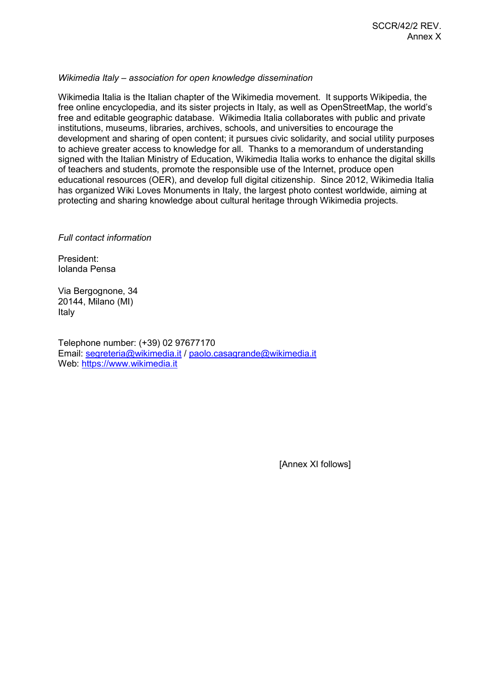## *Wikimedia Italy – association for open knowledge dissemination*

Wikimedia Italia is the Italian chapter of the Wikimedia movement. It supports Wikipedia, the free online encyclopedia, and its sister projects in Italy, as well as OpenStreetMap, the world's free and editable geographic database. Wikimedia Italia collaborates with public and private institutions, museums, libraries, archives, schools, and universities to encourage the development and sharing of open content; it pursues civic solidarity, and social utility purposes to achieve greater access to knowledge for all. Thanks to a memorandum of understanding signed with the Italian Ministry of Education, Wikimedia Italia works to enhance the digital skills of teachers and students, promote the responsible use of the Internet, produce open educational resources (OER), and develop full digital citizenship. Since 2012, Wikimedia Italia has organized Wiki Loves Monuments in Italy, the largest photo contest worldwide, aiming at protecting and sharing knowledge about cultural heritage through Wikimedia projects.

*Full contact information*

President: Iolanda Pensa

Via Bergognone, 34 20144, Milano (MI) Italy

Telephone number: (+39) 02 97677170 Email: [segreteria@wikimedia.it](mailto:segreteria@wikimedia.it) / [paolo.casagrande@wikimedia.it](mailto:paolo.casagrande@wikimedia.it) Web: [https://www.wikimedia.it](https://www.wikimedia.it/)

[Annex XI follows]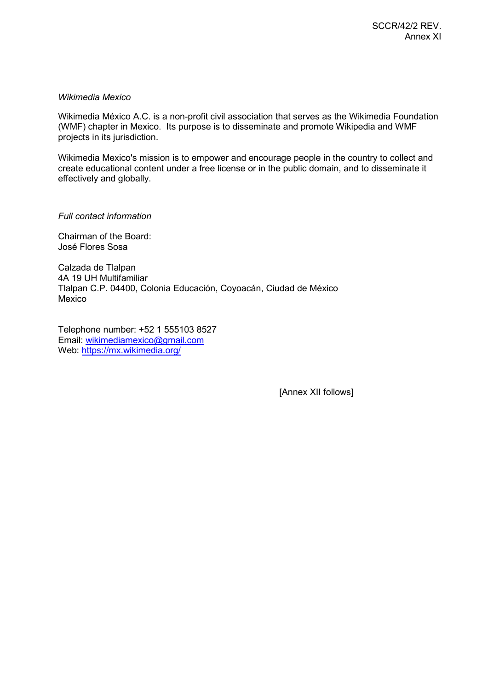## *Wikimedia Mexico*

Wikimedia México A.C. is a non-profit civil association that serves as the Wikimedia Foundation (WMF) chapter in Mexico. Its purpose is to disseminate and promote Wikipedia and WMF projects in its jurisdiction.

Wikimedia Mexico's mission is to empower and encourage people in the country to collect and create educational content under a free license or in the public domain, and to disseminate it effectively and globally.

*Full contact information*

Chairman of the Board: José Flores Sosa

Calzada de Tlalpan 4A 19 UH Multifamiliar Tlalpan C.P. 04400, Colonia Educación, Coyoacán, Ciudad de México Mexico

Telephone number: +52 1 555103 8527 Email: [wikimediamexico@gmail.com](mailto:wikimediamexico@gmail.com) Web:<https://mx.wikimedia.org/>

[Annex XII follows]